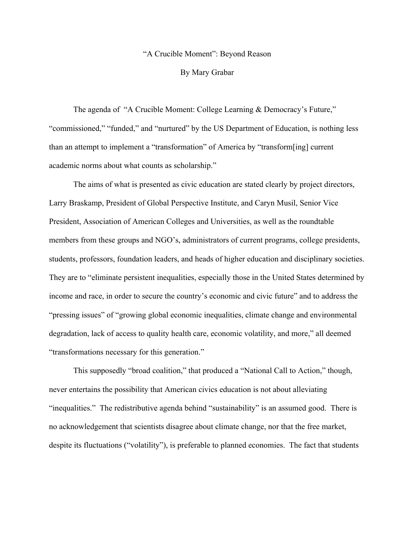## "A Crucible Moment": Beyond Reason

## By Mary Grabar

The agenda of "A Crucible Moment: College Learning & Democracy's Future," "commissioned," "funded," and "nurtured" by the US Department of Education, is nothing less than an attempt to implement a "transformation" of America by "transform[ing] current academic norms about what counts as scholarship."

The aims of what is presented as civic education are stated clearly by project directors, Larry Braskamp, President of Global Perspective Institute, and Caryn Musil, Senior Vice President, Association of American Colleges and Universities, as well as the roundtable members from these groups and NGO's, administrators of current programs, college presidents, students, professors, foundation leaders, and heads of higher education and disciplinary societies. They are to "eliminate persistent inequalities, especially those in the United States determined by income and race, in order to secure the country's economic and civic future" and to address the "pressing issues" of "growing global economic inequalities, climate change and environmental degradation, lack of access to quality health care, economic volatility, and more," all deemed "transformations necessary for this generation."

This supposedly "broad coalition," that produced a "National Call to Action," though, never entertains the possibility that American civics education is not about alleviating "inequalities." The redistributive agenda behind "sustainability" is an assumed good. There is no acknowledgement that scientists disagree about climate change, nor that the free market, despite its fluctuations ("volatility"), is preferable to planned economies. The fact that students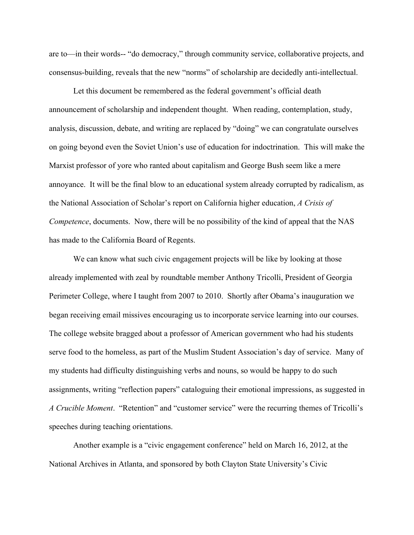are to—in their words-- "do democracy," through community service, collaborative projects, and consensus-building, reveals that the new "norms" of scholarship are decidedly anti-intellectual.

Let this document be remembered as the federal government's official death announcement of scholarship and independent thought. When reading, contemplation, study, analysis, discussion, debate, and writing are replaced by "doing" we can congratulate ourselves on going beyond even the Soviet Union's use of education for indoctrination. This will make the Marxist professor of yore who ranted about capitalism and George Bush seem like a mere annoyance. It will be the final blow to an educational system already corrupted by radicalism, as the National Association of Scholar's report on California higher education, *A Crisis of Competence*, documents. Now, there will be no possibility of the kind of appeal that the NAS has made to the California Board of Regents.

We can know what such civic engagement projects will be like by looking at those already implemented with zeal by roundtable member Anthony Tricolli, President of Georgia Perimeter College, where I taught from 2007 to 2010. Shortly after Obama's inauguration we began receiving email missives encouraging us to incorporate service learning into our courses. The college website bragged about a professor of American government who had his students serve food to the homeless, as part of the Muslim Student Association's day of service. Many of my students had difficulty distinguishing verbs and nouns, so would be happy to do such assignments, writing "reflection papers" cataloguing their emotional impressions, as suggested in *A Crucible Moment*. "Retention" and "customer service" were the recurring themes of Tricolli's speeches during teaching orientations.

Another example is a "civic engagement conference" held on March 16, 2012, at the National Archives in Atlanta, and sponsored by both Clayton State University's Civic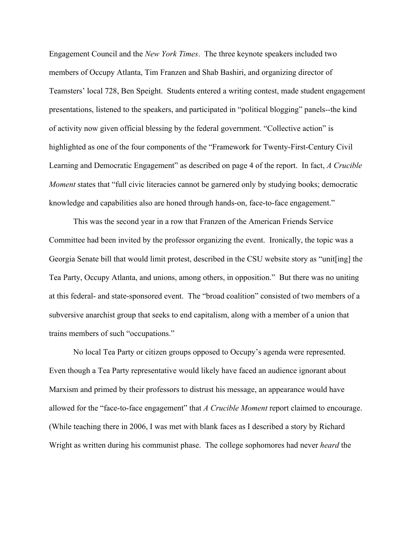Engagement Council and the *New York Times*. The three keynote speakers included two members of Occupy Atlanta, Tim Franzen and Shab Bashiri, and organizing director of Teamsters' local 728, Ben Speight. Students entered a writing contest, made student engagement presentations, listened to the speakers, and participated in "political blogging" panels--the kind of activity now given official blessing by the federal government. "Collective action" is highlighted as one of the four components of the "Framework for Twenty-First-Century Civil Learning and Democratic Engagement" as described on page 4 of the report. In fact, *A Crucible Moment* states that "full civic literacies cannot be garnered only by studying books; democratic knowledge and capabilities also are honed through hands-on, face-to-face engagement."

This was the second year in a row that Franzen of the American Friends Service Committee had been invited by the professor organizing the event. Ironically, the topic was a Georgia Senate bill that would limit protest, described in the CSU website story as "unit[ing] the Tea Party, Occupy Atlanta, and unions, among others, in opposition." But there was no uniting at this federal- and state-sponsored event. The "broad coalition" consisted of two members of a subversive anarchist group that seeks to end capitalism, along with a member of a union that trains members of such "occupations."

No local Tea Party or citizen groups opposed to Occupy's agenda were represented. Even though a Tea Party representative would likely have faced an audience ignorant about Marxism and primed by their professors to distrust his message, an appearance would have allowed for the "face-to-face engagement" that *A Crucible Moment* report claimed to encourage. (While teaching there in 2006, I was met with blank faces as I described a story by Richard Wright as written during his communist phase. The college sophomores had never *heard* the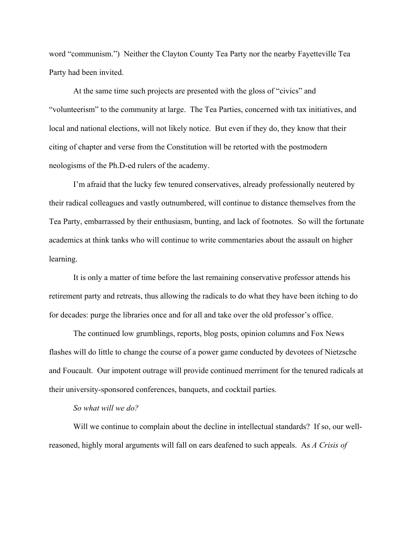word "communism.") Neither the Clayton County Tea Party nor the nearby Fayetteville Tea Party had been invited.

At the same time such projects are presented with the gloss of "civics" and "volunteerism" to the community at large. The Tea Parties, concerned with tax initiatives, and local and national elections, will not likely notice. But even if they do, they know that their citing of chapter and verse from the Constitution will be retorted with the postmodern neologisms of the Ph.D-ed rulers of the academy.

I'm afraid that the lucky few tenured conservatives, already professionally neutered by their radical colleagues and vastly outnumbered, will continue to distance themselves from the Tea Party, embarrassed by their enthusiasm, bunting, and lack of footnotes. So will the fortunate academics at think tanks who will continue to write commentaries about the assault on higher learning.

It is only a matter of time before the last remaining conservative professor attends his retirement party and retreats, thus allowing the radicals to do what they have been itching to do for decades: purge the libraries once and for all and take over the old professor's office.

The continued low grumblings, reports, blog posts, opinion columns and Fox News flashes will do little to change the course of a power game conducted by devotees of Nietzsche and Foucault. Our impotent outrage will provide continued merriment for the tenured radicals at their university-sponsored conferences, banquets, and cocktail parties.

## *So what will we do?*

Will we continue to complain about the decline in intellectual standards? If so, our wellreasoned, highly moral arguments will fall on ears deafened to such appeals. As *A Crisis of*